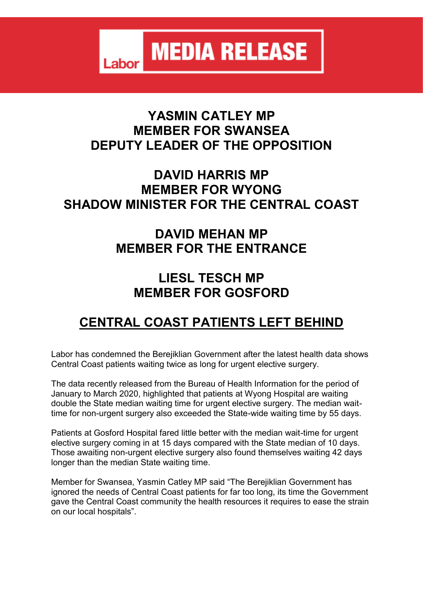**MEDIA RELEASE** Labor

#### **YASMIN CATLEY MP MEMBER FOR SWANSEA DEPUTY LEADER OF THE OPPOSITION**

### **DAVID HARRIS MP MEMBER FOR WYONG SHADOW MINISTER FOR THE CENTRAL COAST**

## **DAVID MEHAN MP MEMBER FOR THE ENTRANCE**

### **LIESL TESCH MP MEMBER FOR GOSFORD**

# **CENTRAL COAST PATIENTS LEFT BEHIND**

Labor has condemned the Berejiklian Government after the latest health data shows Central Coast patients waiting twice as long for urgent elective surgery.

The data recently released from the Bureau of Health Information for the period of January to March 2020, highlighted that patients at Wyong Hospital are waiting double the State median waiting time for urgent elective surgery. The median waittime for non-urgent surgery also exceeded the State-wide waiting time by 55 days.

Patients at Gosford Hospital fared little better with the median wait-time for urgent elective surgery coming in at 15 days compared with the State median of 10 days. Those awaiting non-urgent elective surgery also found themselves waiting 42 days longer than the median State waiting time.

Member for Swansea, Yasmin Catley MP said "The Berejiklian Government has ignored the needs of Central Coast patients for far too long, its time the Government gave the Central Coast community the health resources it requires to ease the strain on our local hospitals".